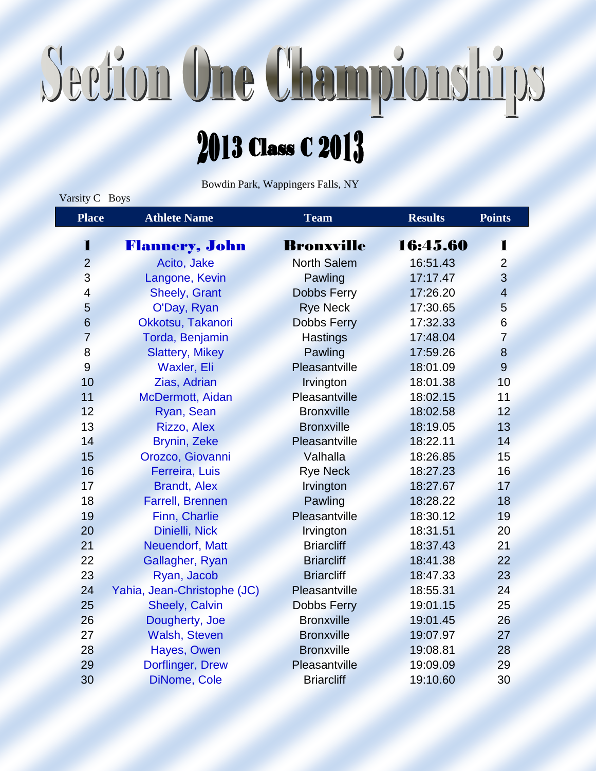## Section One Championships

### 2013 Class C 2013

Bowdin Park, Wappingers Falls, NY

Varsity C Boys

| <b>Place</b>    | <b>Athlete Name</b>         | Team               | <b>Results</b> | <b>Points</b>           |
|-----------------|-----------------------------|--------------------|----------------|-------------------------|
| 1               | <b>Flannery, John</b>       | <b>Bronxville</b>  | 16:45.60       | 1                       |
| $\overline{2}$  | Acito, Jake                 | <b>North Salem</b> | 16:51.43       | $\overline{2}$          |
| 3               | Langone, Kevin              | Pawling            | 17:17.47       | 3                       |
| 4               | <b>Sheely, Grant</b>        | <b>Dobbs Ferry</b> | 17:26.20       | $\overline{\mathbf{4}}$ |
| 5               | O'Day, Ryan                 | <b>Rye Neck</b>    | 17:30.65       | 5                       |
| $6\phantom{1}6$ | Okkotsu, Takanori           | <b>Dobbs Ferry</b> | 17:32.33       | $6\phantom{1}6$         |
| $\overline{7}$  | Torda, Benjamin             | <b>Hastings</b>    | 17:48.04       | $\overline{7}$          |
| 8               | <b>Slattery, Mikey</b>      | Pawling            | 17:59.26       | 8                       |
| 9               | Waxler, Eli                 | Pleasantville      | 18:01.09       | 9                       |
| 10              | Zias, Adrian                | Irvington          | 18:01.38       | 10                      |
| 11              | McDermott, Aidan            | Pleasantville      | 18:02.15       | 11                      |
| 12              | Ryan, Sean                  | <b>Bronxville</b>  | 18:02.58       | 12                      |
| 13              | Rizzo, Alex                 | <b>Bronxville</b>  | 18:19.05       | 13                      |
| 14              | <b>Brynin, Zeke</b>         | Pleasantville      | 18:22.11       | 14                      |
| 15              | Orozco, Giovanni            | Valhalla           | 18:26.85       | 15                      |
| 16              | Ferreira, Luis              | <b>Rye Neck</b>    | 18:27.23       | 16                      |
| 17              | <b>Brandt, Alex</b>         | Irvington          | 18:27.67       | 17                      |
| 18              | <b>Farrell, Brennen</b>     | Pawling            | 18:28.22       | 18                      |
| 19              | Finn, Charlie               | Pleasantville      | 18:30.12       | 19                      |
| 20              | Dinielli, Nick              | Irvington          | 18:31.51       | 20                      |
| 21              | Neuendorf, Matt             | <b>Briarcliff</b>  | 18:37.43       | 21                      |
| 22              | Gallagher, Ryan             | <b>Briarcliff</b>  | 18:41.38       | 22                      |
| 23              | Ryan, Jacob                 | <b>Briarcliff</b>  | 18:47.33       | 23                      |
| 24              | Yahia, Jean-Christophe (JC) | Pleasantville      | 18:55.31       | 24                      |
| 25              | <b>Sheely, Calvin</b>       | <b>Dobbs Ferry</b> | 19:01.15       | 25                      |
| 26              | Dougherty, Joe              | <b>Bronxville</b>  | 19:01.45       | 26                      |
| 27              | <b>Walsh, Steven</b>        | <b>Bronxville</b>  | 19:07.97       | 27                      |
| 28              | Hayes, Owen                 | <b>Bronxville</b>  | 19:08.81       | 28                      |
| 29              | Dorflinger, Drew            | Pleasantville      | 19:09.09       | 29                      |
| 30              | DiNome, Cole                | <b>Briarcliff</b>  | 19:10.60       | 30                      |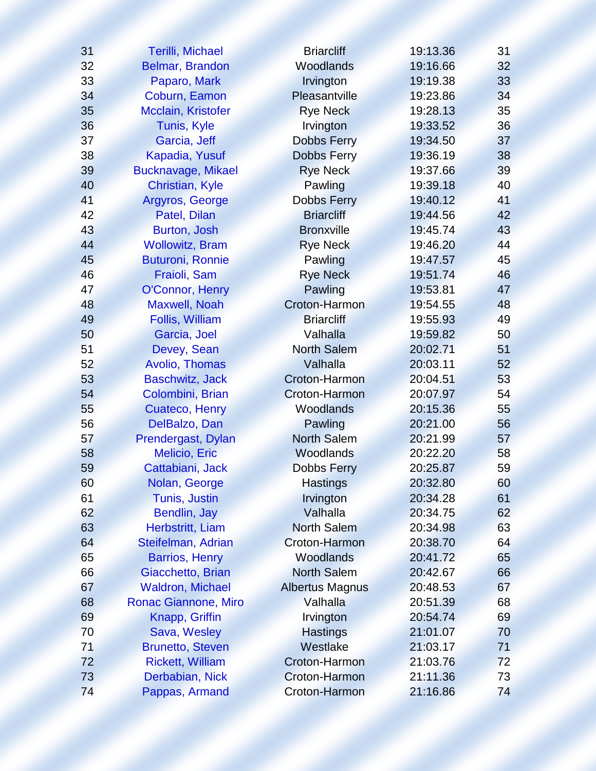| 31 | <b>Terilli, Michael</b> | <b>Briarcliff</b>      | 19:13.36 | 31 |
|----|-------------------------|------------------------|----------|----|
| 32 | Belmar, Brandon         | Woodlands              | 19:16.66 | 32 |
| 33 | Paparo, Mark            | Irvington              | 19:19.38 | 33 |
| 34 | Coburn, Eamon           | Pleasantville          | 19:23.86 | 34 |
| 35 | Mcclain, Kristofer      | <b>Rye Neck</b>        | 19:28.13 | 35 |
| 36 | Tunis, Kyle             | Irvington              | 19:33.52 | 36 |
| 37 | Garcia, Jeff            | <b>Dobbs Ferry</b>     | 19:34.50 | 37 |
| 38 | Kapadia, Yusuf          | <b>Dobbs Ferry</b>     | 19:36.19 | 38 |
| 39 | Bucknavage, Mikael      | <b>Rye Neck</b>        | 19:37.66 | 39 |
| 40 | Christian, Kyle         | Pawling                | 19:39.18 | 40 |
| 41 | Argyros, George         | Dobbs Ferry            | 19:40.12 | 41 |
| 42 | Patel, Dilan            | <b>Briarcliff</b>      | 19:44.56 | 42 |
| 43 | Burton, Josh            | <b>Bronxville</b>      | 19:45.74 | 43 |
| 44 | <b>Wollowitz, Bram</b>  | <b>Rye Neck</b>        | 19:46.20 | 44 |
| 45 | <b>Buturoni, Ronnie</b> | Pawling                | 19:47.57 | 45 |
| 46 | Fraioli, Sam            | <b>Rye Neck</b>        | 19:51.74 | 46 |
| 47 | O'Connor, Henry         | Pawling                | 19:53.81 | 47 |
| 48 | Maxwell, Noah           | Croton-Harmon          | 19:54.55 | 48 |
| 49 | Follis, William         | <b>Briarcliff</b>      | 19:55.93 | 49 |
| 50 | Garcia, Joel            | Valhalla               | 19:59.82 | 50 |
| 51 | Devey, Sean             | <b>North Salem</b>     | 20:02.71 | 51 |
| 52 | Avolio, Thomas          | Valhalla               | 20:03.11 | 52 |
| 53 | <b>Baschwitz, Jack</b>  | Croton-Harmon          | 20:04.51 | 53 |
| 54 | Colombini, Brian        | Croton-Harmon          | 20:07.97 | 54 |
| 55 | Cuateco, Henry          | Woodlands              | 20:15.36 | 55 |
| 56 | DelBalzo, Dan           | Pawling                | 20:21.00 | 56 |
| 57 | Prendergast, Dylan      | <b>North Salem</b>     | 20:21.99 | 57 |
| 58 | Melicio, Eric           | Woodlands              | 20:22.20 | 58 |
| 59 | Cattabiani, Jack        | Dobbs Ferry            | 20:25.87 | 59 |
| 60 | Nolan, George           | <b>Hastings</b>        | 20:32.80 | 60 |
| 61 | <b>Tunis, Justin</b>    | Irvington              | 20:34.28 | 61 |
| 62 | Bendlin, Jay            | Valhalla               | 20:34.75 | 62 |
| 63 | Herbstritt, Liam        | <b>North Salem</b>     | 20:34.98 | 63 |
| 64 | Steifelman, Adrian      | Croton-Harmon          | 20:38.70 | 64 |
| 65 | <b>Barrios, Henry</b>   | Woodlands              | 20:41.72 | 65 |
| 66 | Giacchetto, Brian       | <b>North Salem</b>     | 20:42.67 | 66 |
| 67 | <b>Waldron, Michael</b> | <b>Albertus Magnus</b> | 20:48.53 | 67 |
| 68 | Ronac Giannone, Miro    | Valhalla               | 20:51.39 | 68 |
| 69 | Knapp, Griffin          | Irvington              | 20:54.74 | 69 |
| 70 | Sava, Wesley            | <b>Hastings</b>        | 21:01.07 | 70 |
| 71 | <b>Brunetto, Steven</b> | Westlake               | 21:03.17 | 71 |
| 72 | <b>Rickett, William</b> | Croton-Harmon          | 21:03.76 | 72 |
| 73 | Derbabian, Nick         | Croton-Harmon          | 21:11.36 | 73 |
| 74 | Pappas, Armand          | Croton-Harmon          | 21:16.86 | 74 |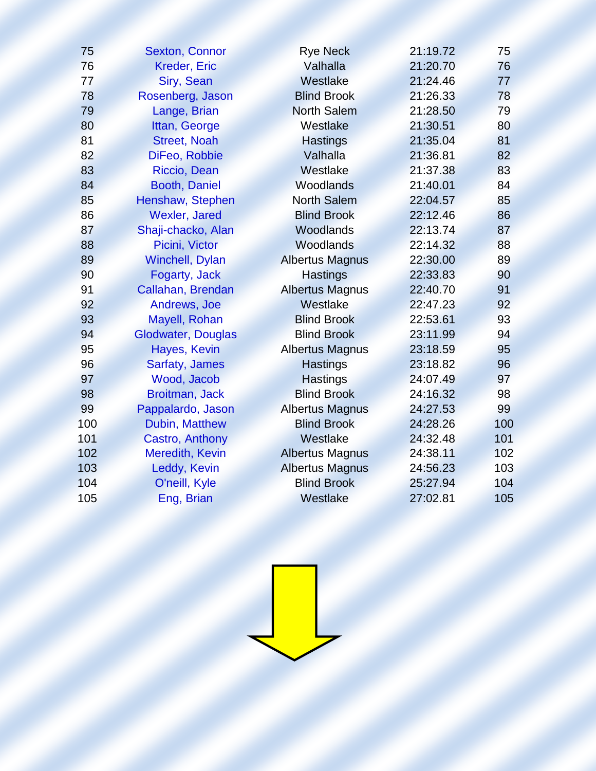| 75  | <b>Sexton, Connor</b>     | <b>Rye Neck</b>        | 21:19.72 | 75  |
|-----|---------------------------|------------------------|----------|-----|
| 76  | <b>Kreder, Eric</b>       | Valhalla               | 21:20.70 | 76  |
| 77  | Siry, Sean                | Westlake               | 21:24.46 | 77  |
| 78  | Rosenberg, Jason          | <b>Blind Brook</b>     | 21:26.33 | 78  |
| 79  | Lange, Brian              | <b>North Salem</b>     | 21:28.50 | 79  |
| 80  | Ittan, George             | Westlake               | 21:30.51 | 80  |
| 81  | <b>Street, Noah</b>       | <b>Hastings</b>        | 21:35.04 | 81  |
| 82  | DiFeo, Robbie             | Valhalla               | 21:36.81 | 82  |
| 83  | Riccio, Dean              | Westlake               | 21:37.38 | 83  |
| 84  | Booth, Daniel             | Woodlands              | 21:40.01 | 84  |
| 85  | Henshaw, Stephen          | <b>North Salem</b>     | 22:04.57 | 85  |
| 86  | <b>Wexler, Jared</b>      | <b>Blind Brook</b>     | 22:12.46 | 86  |
| 87  | Shaji-chacko, Alan        | Woodlands              | 22:13.74 | 87  |
| 88  | Picini, Victor            | Woodlands              | 22:14.32 | 88  |
| 89  | <b>Winchell, Dylan</b>    | <b>Albertus Magnus</b> | 22:30.00 | 89  |
| 90  | Fogarty, Jack             | <b>Hastings</b>        | 22:33.83 | 90  |
| 91  | Callahan, Brendan         | <b>Albertus Magnus</b> | 22:40.70 | 91  |
| 92  | Andrews, Joe              | Westlake               | 22:47.23 | 92  |
| 93  | Mayell, Rohan             | <b>Blind Brook</b>     | 22:53.61 | 93  |
| 94  | <b>Glodwater, Douglas</b> | <b>Blind Brook</b>     | 23:11.99 | 94  |
| 95  | Hayes, Kevin              | <b>Albertus Magnus</b> | 23:18.59 | 95  |
| 96  | Sarfaty, James            | <b>Hastings</b>        | 23:18.82 | 96  |
| 97  | Wood, Jacob               | <b>Hastings</b>        | 24:07.49 | 97  |
| 98  | <b>Broitman, Jack</b>     | <b>Blind Brook</b>     | 24:16.32 | 98  |
| 99  | Pappalardo, Jason         | <b>Albertus Magnus</b> | 24:27.53 | 99  |
| 100 | Dubin, Matthew            | <b>Blind Brook</b>     | 24:28.26 | 100 |
| 101 | Castro, Anthony           | Westlake               | 24:32.48 | 101 |
| 102 | Meredith, Kevin           | <b>Albertus Magnus</b> | 24:38.11 | 102 |
| 103 | Leddy, Kevin              | <b>Albertus Magnus</b> | 24:56.23 | 103 |
| 104 | O'neill, Kyle             | <b>Blind Brook</b>     | 25:27.94 | 104 |
| 105 | Eng, Brian                | Westlake               | 27:02.81 | 105 |
|     |                           |                        |          |     |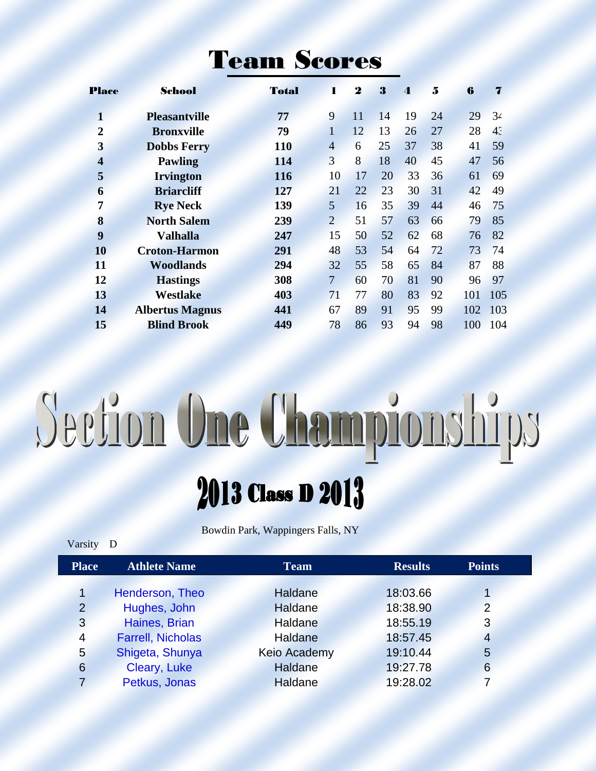#### Team Scores

| <b>Place</b>            | School                 | Total      | ı              | $\boldsymbol{2}$ | 3  | $\boldsymbol{\Lambda}$ | 5  | 6   |                |
|-------------------------|------------------------|------------|----------------|------------------|----|------------------------|----|-----|----------------|
| $\mathbf{1}$            | <b>Pleasantville</b>   | 77         | 9              | 11               | 14 | 19                     | 24 | 29  | 34             |
| $\overline{2}$          | <b>Bronxville</b>      | 79         | 1              | 12               | 13 | 26                     | 27 | 28  | 4 <sup>2</sup> |
| $\overline{\mathbf{3}}$ | <b>Dobbs Ferry</b>     | <b>110</b> | $\overline{4}$ | 6                | 25 | 37                     | 38 | 41  | 59             |
| $\overline{\mathbf{4}}$ | <b>Pawling</b>         | 114        | $\overline{3}$ | 8                | 18 | 40                     | 45 | 47  | 56             |
| 5                       | <b>Irvington</b>       | 116        | 10             | 17               | 20 | 33                     | 36 | 61  | 69             |
| 6                       | <b>Briarcliff</b>      | 127        | 21             | 22               | 23 | 30                     | 31 | 42  | 49             |
| 7                       | <b>Rye Neck</b>        | 139        | 5              | 16               | 35 | 39                     | 44 | 46  | 75             |
| 8                       | <b>North Salem</b>     | 239        | $\overline{2}$ | 51               | 57 | 63                     | 66 | 79  | 85             |
| 9                       | <b>Valhalla</b>        | 247        | 15             | 50               | 52 | 62                     | 68 | 76  | 82             |
| 10                      | <b>Croton-Harmon</b>   | 291        | 48             | 53               | 54 | 64                     | 72 | 73  | 74             |
| 11                      | <b>Woodlands</b>       | 294        | 32             | 55               | 58 | 65                     | 84 | 87  | 88             |
| 12                      | <b>Hastings</b>        | 308        | $\overline{7}$ | 60               | 70 | 81                     | 90 | 96  | 97             |
| 13                      | <b>Westlake</b>        | 403        | 71             | 77               | 80 | 83                     | 92 | 101 | 105            |
| 14                      | <b>Albertus Magnus</b> | 441        | 67             | 89               | 91 | 95                     | 99 | 102 | 103            |
| 15                      | <b>Blind Brook</b>     | 449        | 78             | 86               | 93 | 94                     | 98 | 100 | 104            |
|                         |                        |            |                |                  |    |                        |    |     |                |

# Section One Championships

### 2013 Class D 2013

Bowdin Park, Wappingers Falls, NY

Varsity D

| <b>Place</b>   | <b>Athlete Name</b>      | <b>Team</b>    | <b>Results</b> | <b>Points</b>  |  |
|----------------|--------------------------|----------------|----------------|----------------|--|
|                |                          |                |                |                |  |
| 1              | Henderson, Theo          | Haldane        | 18:03.66       |                |  |
| $\overline{2}$ | Hughes, John             | Haldane        | 18:38.90       | $\overline{2}$ |  |
| 3              | Haines, Brian            | <b>Haldane</b> | 18:55.19       | 3              |  |
| $\overline{4}$ | <b>Farrell, Nicholas</b> | Haldane        | 18:57.45       | $\overline{4}$ |  |
| 5              | Shigeta, Shunya          | Keio Academy   | 19:10.44       | 5              |  |
| 6              | Cleary, Luke             | Haldane        | 19:27.78       | 6              |  |
| 7              | Petkus, Jonas            | <b>Haldane</b> | 19:28.02       |                |  |
|                |                          |                |                |                |  |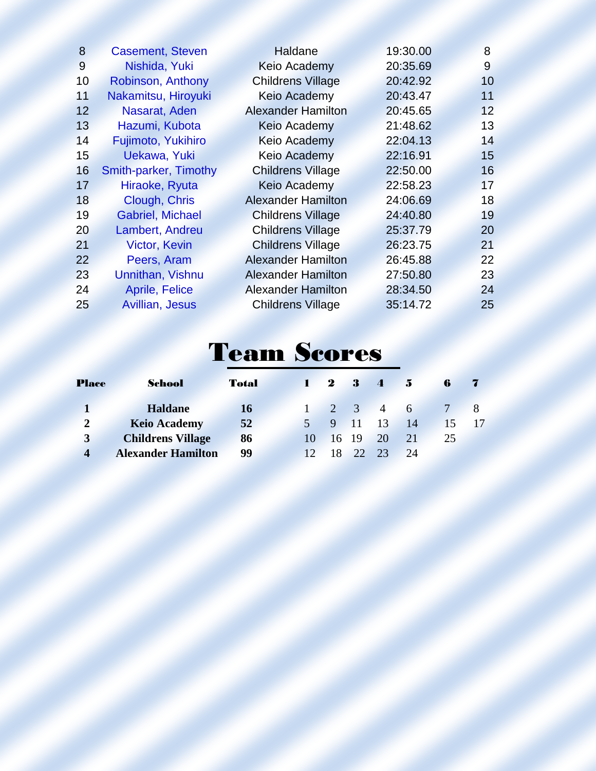| 8  | <b>Casement, Steven</b> | Haldane                   | 19:30.00 | 8               |
|----|-------------------------|---------------------------|----------|-----------------|
| 9  | Nishida, Yuki           | Keio Academy              | 20:35.69 | 9               |
| 10 | Robinson, Anthony       | <b>Childrens Village</b>  | 20:42.92 | 10              |
| 11 | Nakamitsu, Hiroyuki     | <b>Keio Academy</b>       | 20:43.47 | 11              |
| 12 | Nasarat, Aden           | <b>Alexander Hamilton</b> | 20:45.65 | 12 <sup>°</sup> |
| 13 | Hazumi, Kubota          | <b>Keio Academy</b>       | 21:48.62 | 13              |
| 14 | Fujimoto, Yukihiro      | Keio Academy              | 22:04.13 | 14              |
| 15 | Uekawa, Yuki            | <b>Keio Academy</b>       | 22:16.91 | 15              |
| 16 | Smith-parker, Timothy   | <b>Childrens Village</b>  | 22:50.00 | 16              |
| 17 | Hiraoke, Ryuta          | Keio Academy              | 22:58.23 | 17              |
| 18 | Clough, Chris           | <b>Alexander Hamilton</b> | 24:06.69 | 18              |
| 19 | <b>Gabriel, Michael</b> | <b>Childrens Village</b>  | 24:40.80 | 19              |
| 20 | Lambert, Andreu         | <b>Childrens Village</b>  | 25:37.79 | 20              |
| 21 | <b>Victor, Kevin</b>    | <b>Childrens Village</b>  | 26:23.75 | 21              |
| 22 | Peers, Aram             | <b>Alexander Hamilton</b> | 26:45.88 | 22              |
| 23 | Unnithan, Vishnu        | <b>Alexander Hamilton</b> | 27:50.80 | 23              |
| 24 | <b>Aprile, Felice</b>   | <b>Alexander Hamilton</b> | 28:34.50 | 24              |
| 25 | Avillian, Jesus         | <b>Childrens Village</b>  | 35:14.72 | 25              |
|    |                         |                           |          |                 |

### Team Scores

| Place            | School                    | <b>Total</b> | $\mathbf{I}$    | $\mathbf{2}$ | $\frac{3}{2}$ | $\sim$ $\sim$       | $-5$ | 6  |  |
|------------------|---------------------------|--------------|-----------------|--------------|---------------|---------------------|------|----|--|
|                  | <b>Haldane</b>            | <b>16</b>    |                 |              |               | $2 \quad 3 \quad 4$ | 6    |    |  |
| $\overline{2}$   | <b>Keio Academy</b>       | 52           |                 |              | 9 11 13       |                     | -14  | 15 |  |
| $\mathbf{3}$     | <b>Childrens Village</b>  | 86           | 10              |              | 16 19         | - 20                | 21   | 25 |  |
| $\boldsymbol{4}$ | <b>Alexander Hamilton</b> | 99           | 12 <sup>7</sup> | 18           | $-22$         | 23                  | 24   |    |  |